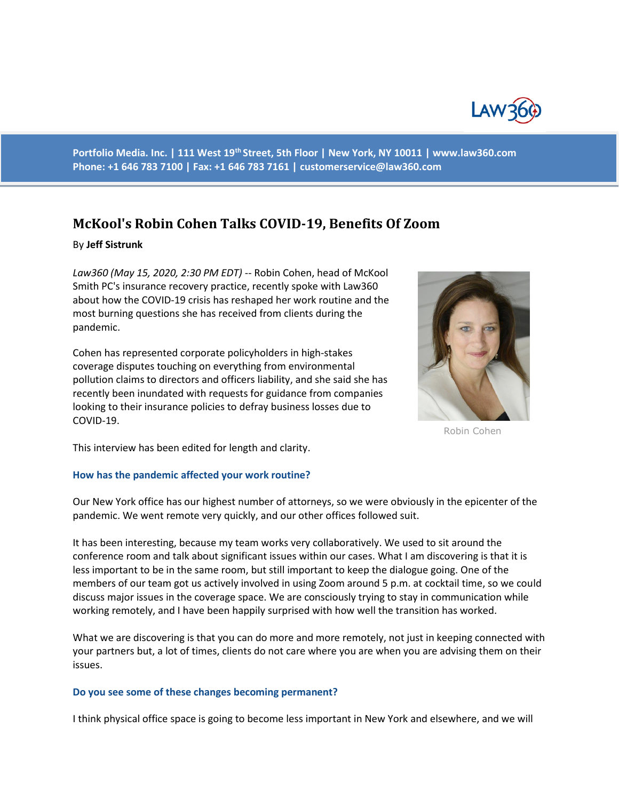

**Portfolio Media. Inc. | 111 West 19th Street, 5th Floor | New York, NY 10011 | www.law360.com Phone: +1 646 783 7100 | Fax: +1 646 783 7161 | customerservice@law360.com**

# **McKool's Robin Cohen Talks COVID-19, Benefits Of Zoom**

## By **Jeff Sistrunk**

*Law360 (May 15, 2020, 2:30 PM EDT)* -- Robin Cohen, head of McKool Smith PC's insurance recovery practice, recently spoke with Law360 about how the COVID-19 crisis has reshaped her work routine and the most burning questions she has received from clients during the pandemic.

Cohen has represented corporate policyholders in high-stakes coverage disputes touching on everything from environmental pollution claims to directors and officers liability, and she said she has recently been inundated with requests for guidance from companies looking to their insurance policies to defray business losses due to COVID-19.



Robin Cohen

This interview has been edited for length and clarity.

## **How has the pandemic affected your work routine?**

Our New York office has our highest number of attorneys, so we were obviously in the epicenter of the pandemic. We went remote very quickly, and our other offices followed suit.

It has been interesting, because my team works very collaboratively. We used to sit around the conference room and talk about significant issues within our cases. What I am discovering is that it is less important to be in the same room, but still important to keep the dialogue going. One of the members of our team got us actively involved in using Zoom around 5 p.m. at cocktail time, so we could discuss major issues in the coverage space. We are consciously trying to stay in communication while working remotely, and I have been happily surprised with how well the transition has worked.

What we are discovering is that you can do more and more remotely, not just in keeping connected with your partners but, a lot of times, clients do not care where you are when you are advising them on their issues.

## **Do you see some of these changes becoming permanent?**

I think physical office space is going to become less important in New York and elsewhere, and we will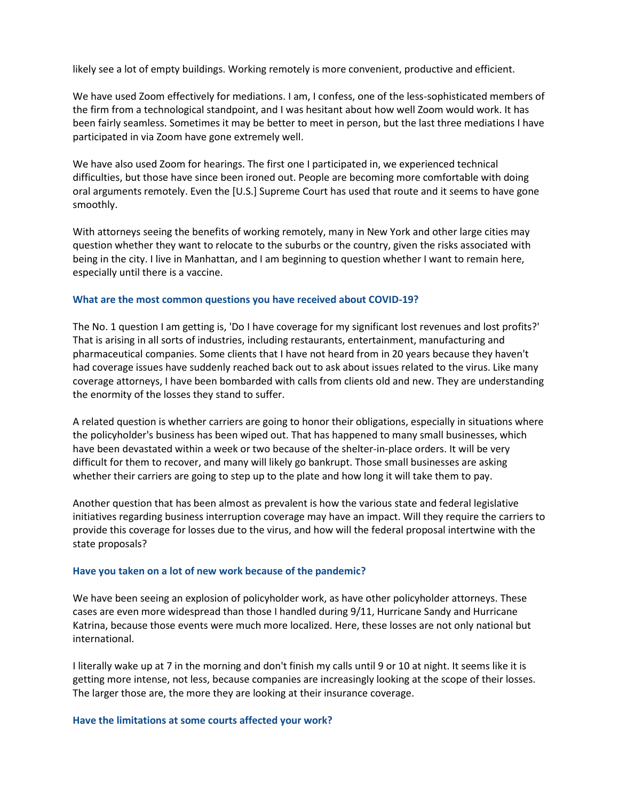likely see a lot of empty buildings. Working remotely is more convenient, productive and efficient.

We have used Zoom effectively for mediations. I am, I confess, one of the less-sophisticated members of the firm from a technological standpoint, and I was hesitant about how well Zoom would work. It has been fairly seamless. Sometimes it may be better to meet in person, but the last three mediations I have participated in via Zoom have gone extremely well.

We have also used Zoom for hearings. The first one I participated in, we experienced technical difficulties, but those have since been ironed out. People are becoming more comfortable with doing oral arguments remotely. Even the [U.S.] Supreme Court has used that route and it seems to have gone smoothly.

With attorneys seeing the benefits of working remotely, many in New York and other large cities may question whether they want to relocate to the suburbs or the country, given the risks associated with being in the city. I live in Manhattan, and I am beginning to question whether I want to remain here, especially until there is a vaccine.

## **What are the most common questions you have received about COVID-19?**

The No. 1 question I am getting is, 'Do I have coverage for my significant lost revenues and lost profits?' That is arising in all sorts of industries, including restaurants, entertainment, manufacturing and pharmaceutical companies. Some clients that I have not heard from in 20 years because they haven't had coverage issues have suddenly reached back out to ask about issues related to the virus. Like many coverage attorneys, I have been bombarded with calls from clients old and new. They are understanding the enormity of the losses they stand to suffer.

A related question is whether carriers are going to honor their obligations, especially in situations where the policyholder's business has been wiped out. That has happened to many small businesses, which have been devastated within a week or two because of the shelter-in-place orders. It will be very difficult for them to recover, and many will likely go bankrupt. Those small businesses are asking whether their carriers are going to step up to the plate and how long it will take them to pay.

Another question that has been almost as prevalent is how the various state and federal legislative initiatives regarding business interruption coverage may have an impact. Will they require the carriers to provide this coverage for losses due to the virus, and how will the federal proposal intertwine with the state proposals?

## **Have you taken on a lot of new work because of the pandemic?**

We have been seeing an explosion of policyholder work, as have other policyholder attorneys. These cases are even more widespread than those I handled during 9/11, Hurricane Sandy and Hurricane Katrina, because those events were much more localized. Here, these losses are not only national but international.

I literally wake up at 7 in the morning and don't finish my calls until 9 or 10 at night. It seems like it is getting more intense, not less, because companies are increasingly looking at the scope of their losses. The larger those are, the more they are looking at their insurance coverage.

## **Have the limitations at some courts affected your work?**